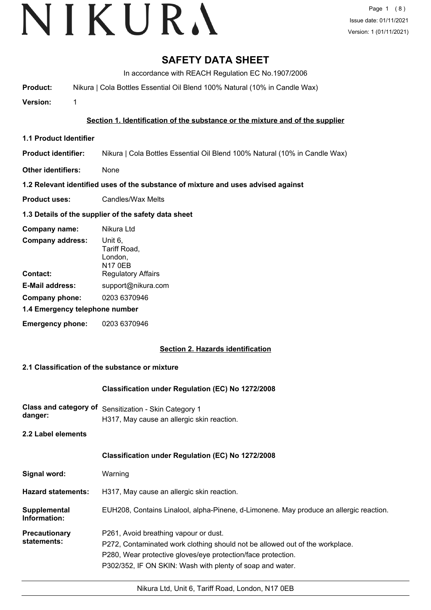# VIKURA

# **SAFETY DATA SHEET**

In accordance with REACH Regulation EC No.1907/2006

**Product:** Nikura | Cola Bottles Essential Oil Blend 100% Natural (10% in Candle Wax)

**Version:** 1

# **Section 1. Identification of the substance or the mixture and of the supplier**

- **1.1 Product Identifier**
- **Product identifier:** Nikura | Cola Bottles Essential Oil Blend 100% Natural (10% in Candle Wax)
- **Other identifiers:** None

# **1.2 Relevant identified uses of the substance of mixture and uses advised against**

**Product uses:** Candles/Wax Melts

# **1.3 Details of the supplier of the safety data sheet**

| Company name:                  | Nikura Ltd                                           |
|--------------------------------|------------------------------------------------------|
| <b>Company address:</b>        | Unit 6,<br>Tariff Road,<br>London,<br><b>N17 0EB</b> |
| Contact:                       | <b>Regulatory Affairs</b>                            |
| <b>E-Mail address:</b>         | support@nikura.com                                   |
| Company phone:                 | 0203 6370946                                         |
| 1.4 Emergency telephone number |                                                      |
| <b>Emergency phone:</b>        | 0203 6370946                                         |

# **Section 2. Hazards identification**

# **2.1 Classification of the substance or mixture**

# **Classification under Regulation (EC) No 1272/2008**

**Class and category of** Sensitization - Skin Category 1 **danger:** H317, May cause an allergic skin reaction.

**2.2 Label elements**

# **Classification under Regulation (EC) No 1272/2008**

| Signal word: | Warning |
|--------------|---------|
|--------------|---------|

- **Hazard statements:** H317, May cause an allergic skin reaction.
- **Supplemental** EUH208, Contains Linalool, alpha-Pinene, d-Limonene. May produce an allergic reaction. **Information:**

**Precautionary statements:** P261, Avoid breathing vapour or dust.

- P272, Contaminated work clothing should not be allowed out of the workplace.
	- P280, Wear protective gloves/eye protection/face protection.

P302/352, IF ON SKIN: Wash with plenty of soap and water.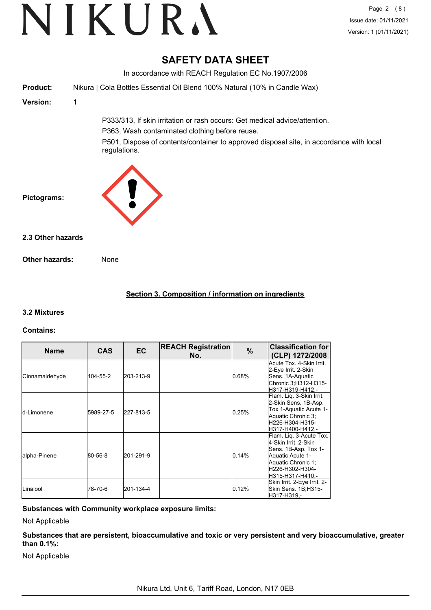# **SAFETY DATA SHEET**

In accordance with REACH Regulation EC No.1907/2006 **Product:** Nikura | Cola Bottles Essential Oil Blend 100% Natural (10% in Candle Wax) **Version:** 1 P333/313, If skin irritation or rash occurs: Get medical advice/attention. P363, Wash contaminated clothing before reuse. P501, Dispose of contents/container to approved disposal site, in accordance with local regulations. **Pictograms: Other hazards:** None **2.3 Other hazards**

# **Section 3. Composition / information on ingredients**

# **3.2 Mixtures**

#### **Contains:**

| <b>Name</b>         | <b>CAS</b> | EC.       | <b>REACH Registration</b><br>No. | $\%$     | <b>Classification for</b><br>(CLP) 1272/2008                                                                                                              |
|---------------------|------------|-----------|----------------------------------|----------|-----------------------------------------------------------------------------------------------------------------------------------------------------------|
| Cinnamaldehyde      | 104-55-2   | 203-213-9 |                                  | $0.68\%$ | Acute Tox. 4-Skin Irrit.<br>2-Eye Irrit. 2-Skin<br>Sens. 1A-Aquatic<br>Chronic 3;H312-H315-<br>H317-H319-H412.-                                           |
| <b>I</b> d-Limonene | 5989-27-5  | 227-813-5 |                                  | 0.25%    | Flam. Liq. 3-Skin Irrit.<br>2-Skin Sens. 1B-Asp.<br>Tox 1-Aquatic Acute 1-<br>Aquatic Chronic 3;<br>lH226-H304-H315-<br>lH317-H400-H412.-                 |
| alpha-Pinene        | 80-56-8    | 201-291-9 |                                  | 0.14%    | Flam. Lig. 3-Acute Tox.<br>4-Skin Irrit, 2-Skin<br>Sens. 1B-Asp. Tox 1-<br>Aquatic Acute 1-<br>Aquatic Chronic 1;<br>lH226-H302-H304-<br>H315-H317-H410.- |
| <b>I</b> Linalool   | 78-70-6    | 201-134-4 |                                  | 0.12%    | Skin Irrit. 2-Eye Irrit. 2-<br>Skin Sens. 1B;H315-<br>H317-H319.-                                                                                         |

# **Substances with Community workplace exposure limits:**

Not Applicable

**Substances that are persistent, bioaccumulative and toxic or very persistent and very bioaccumulative, greater than 0.1%:**

Not Applicable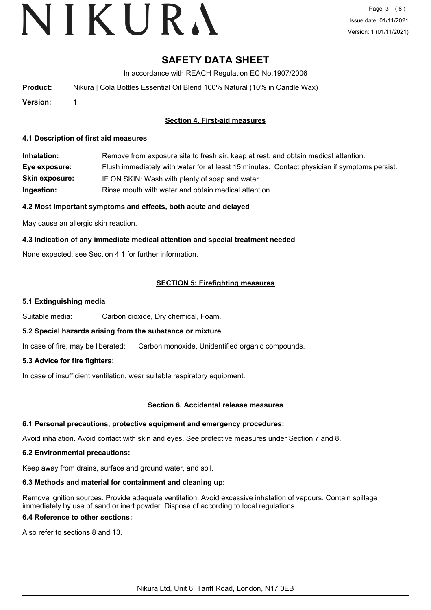# VIKURA

# **SAFETY DATA SHEET**

In accordance with REACH Regulation EC No.1907/2006

| Product: | Nikura   Cola Bottles Essential Oil Blend 100% Natural (10% in Candle Wax) |
|----------|----------------------------------------------------------------------------|
|          |                                                                            |

**Version:** 1

### **Section 4. First-aid measures**

#### **4.1 Description of first aid measures**

**Inhalation:** Remove from exposure site to fresh air, keep at rest, and obtain medical attention. **Eye exposure:** Flush immediately with water for at least 15 minutes. Contact physician if symptoms persist. **Skin exposure:** IF ON SKIN: Wash with plenty of soap and water. **Ingestion:** Rinse mouth with water and obtain medical attention.

### **4.2 Most important symptoms and effects, both acute and delayed**

May cause an allergic skin reaction.

### **4.3 Indication of any immediate medical attention and special treatment needed**

None expected, see Section 4.1 for further information.

### **SECTION 5: Firefighting measures**

#### **5.1 Extinguishing media**

Suitable media: Carbon dioxide, Dry chemical, Foam.

#### **5.2 Special hazards arising from the substance or mixture**

In case of fire, may be liberated: Carbon monoxide, Unidentified organic compounds.

#### **5.3 Advice for fire fighters:**

In case of insufficient ventilation, wear suitable respiratory equipment.

#### **Section 6. Accidental release measures**

#### **6.1 Personal precautions, protective equipment and emergency procedures:**

Avoid inhalation. Avoid contact with skin and eyes. See protective measures under Section 7 and 8.

#### **6.2 Environmental precautions:**

Keep away from drains, surface and ground water, and soil.

#### **6.3 Methods and material for containment and cleaning up:**

Remove ignition sources. Provide adequate ventilation. Avoid excessive inhalation of vapours. Contain spillage immediately by use of sand or inert powder. Dispose of according to local regulations.

#### **6.4 Reference to other sections:**

Also refer to sections 8 and 13.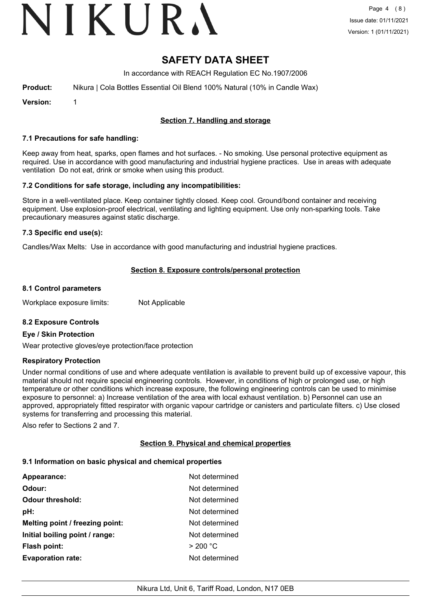# VIKURA

# **SAFETY DATA SHEET**

In accordance with REACH Regulation EC No.1907/2006

| <b>Product:</b> |  | Nikura   Cola Bottles Essential Oil Blend 100% Natural (10% in Candle Wax) |  |  |  |  |  |  |  |
|-----------------|--|----------------------------------------------------------------------------|--|--|--|--|--|--|--|
|-----------------|--|----------------------------------------------------------------------------|--|--|--|--|--|--|--|

**Version:** 1

### **Section 7. Handling and storage**

#### **7.1 Precautions for safe handling:**

Keep away from heat, sparks, open flames and hot surfaces. - No smoking. Use personal protective equipment as required. Use in accordance with good manufacturing and industrial hygiene practices. Use in areas with adequate ventilation Do not eat, drink or smoke when using this product.

#### **7.2 Conditions for safe storage, including any incompatibilities:**

Store in a well-ventilated place. Keep container tightly closed. Keep cool. Ground/bond container and receiving equipment. Use explosion-proof electrical, ventilating and lighting equipment. Use only non-sparking tools. Take precautionary measures against static discharge.

#### **7.3 Specific end use(s):**

Candles/Wax Melts: Use in accordance with good manufacturing and industrial hygiene practices.

### **Section 8. Exposure controls/personal protection**

#### **8.1 Control parameters**

Workplace exposure limits: Not Applicable

#### **8.2 Exposure Controls**

#### **Eye / Skin Protection**

Wear protective gloves/eye protection/face protection

#### **Respiratory Protection**

Under normal conditions of use and where adequate ventilation is available to prevent build up of excessive vapour, this material should not require special engineering controls. However, in conditions of high or prolonged use, or high temperature or other conditions which increase exposure, the following engineering controls can be used to minimise exposure to personnel: a) Increase ventilation of the area with local exhaust ventilation. b) Personnel can use an approved, appropriately fitted respirator with organic vapour cartridge or canisters and particulate filters. c) Use closed systems for transferring and processing this material.

Also refer to Sections 2 and 7.

#### **Section 9. Physical and chemical properties**

#### **9.1 Information on basic physical and chemical properties**

| Appearance:                     | Not determined |
|---------------------------------|----------------|
| Odour:                          | Not determined |
| <b>Odour threshold:</b>         | Not determined |
| pH:                             | Not determined |
| Melting point / freezing point: | Not determined |
| Initial boiling point / range:  | Not determined |
| <b>Flash point:</b>             | > 200 °C       |
| <b>Evaporation rate:</b>        | Not determined |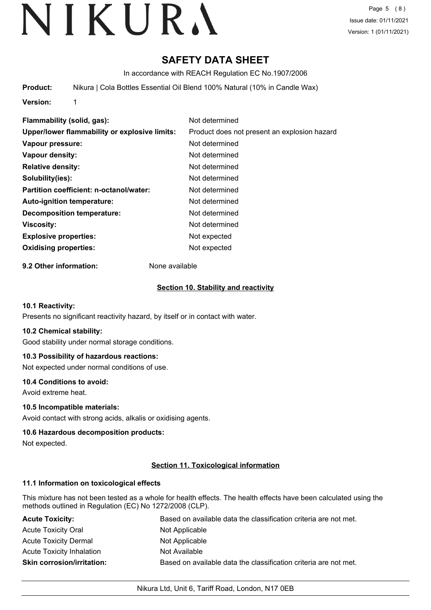# **SAFETY DATA SHEET**

In accordance with REACH Regulation EC No.1907/2006

**Product:** Nikura | Cola Bottles Essential Oil Blend 100% Natural (10% in Candle Wax)

**Version:** 1

**Flammability (solid, gas):** Not determined **Upper/lower flammability or explosive limits:** Product does not present an explosion hazard **Vapour pressure:** Not determined **Vapour density:** Not determined **Relative density:** Not determined **Solubility(ies):** Not determined **Partition coefficient: n-octanol/water:** Not determined **Auto-ignition temperature:** Not determined **Decomposition temperature:** Not determined **Viscosity:** Not determined **Explosive properties:** Not expected **Oxidising properties:** Not expected

**9.2 Other information:** None available

# **Section 10. Stability and reactivity**

#### **10.1 Reactivity:**

Presents no significant reactivity hazard, by itself or in contact with water.

#### **10.2 Chemical stability:**

Good stability under normal storage conditions.

# **10.3 Possibility of hazardous reactions:**

Not expected under normal conditions of use.

#### **10.4 Conditions to avoid:**

Avoid extreme heat.

# **10.5 Incompatible materials:**

Avoid contact with strong acids, alkalis or oxidising agents.

#### **10.6 Hazardous decomposition products:**

Not expected.

# **Section 11. Toxicological information**

# **11.1 Information on toxicological effects**

This mixture has not been tested as a whole for health effects. The health effects have been calculated using the methods outlined in Regulation (EC) No 1272/2008 (CLP).

| <b>Acute Toxicity:</b>            | Based on available data the classification criteria are not met. |
|-----------------------------------|------------------------------------------------------------------|
| <b>Acute Toxicity Oral</b>        | Not Applicable                                                   |
| <b>Acute Toxicity Dermal</b>      | Not Applicable                                                   |
| <b>Acute Toxicity Inhalation</b>  | Not Available                                                    |
| <b>Skin corrosion/irritation:</b> | Based on available data the classification criteria are not met. |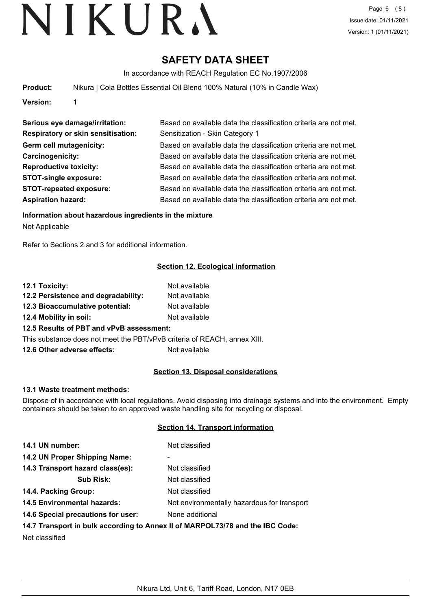# **SAFETY DATA SHEET**

In accordance with REACH Regulation EC No.1907/2006

| <b>Product:</b> |  |  |  | Nikura   Cola Bottles Essential Oil Blend 100% Natural (10% in Candle Wax) |
|-----------------|--|--|--|----------------------------------------------------------------------------|
|                 |  |  |  |                                                                            |

**Version:** 1

| Serious eye damage/irritation:            | Based on available data the classification criteria are not met. |
|-------------------------------------------|------------------------------------------------------------------|
| <b>Respiratory or skin sensitisation:</b> | Sensitization - Skin Category 1                                  |
| Germ cell mutagenicity:                   | Based on available data the classification criteria are not met. |
| Carcinogenicity:                          | Based on available data the classification criteria are not met. |
| <b>Reproductive toxicity:</b>             | Based on available data the classification criteria are not met. |
| <b>STOT-single exposure:</b>              | Based on available data the classification criteria are not met. |
| <b>STOT-repeated exposure:</b>            | Based on available data the classification criteria are not met. |
| <b>Aspiration hazard:</b>                 | Based on available data the classification criteria are not met. |

# **Information about hazardous ingredients in the mixture**

Not Applicable

Refer to Sections 2 and 3 for additional information.

# **Section 12. Ecological information**

| 12.1 Toxicity:                                                           | Not available |
|--------------------------------------------------------------------------|---------------|
| 12.2 Persistence and degradability:                                      | Not available |
| 12.3 Bioaccumulative potential:                                          | Not available |
| 12.4 Mobility in soil:                                                   | Not available |
| 12.5 Results of PBT and vPvB assessment:                                 |               |
| This substance does not meet the PBT/vPvB criteria of REACH, annex XIII. |               |
| 12.6 Other adverse effects:                                              | Not available |

#### **Section 13. Disposal considerations**

#### **13.1 Waste treatment methods:**

Dispose of in accordance with local regulations. Avoid disposing into drainage systems and into the environment. Empty containers should be taken to an approved waste handling site for recycling or disposal.

### **Section 14. Transport information**

| 14.1 UN number:                    | Not classified                                                                |
|------------------------------------|-------------------------------------------------------------------------------|
| 14.2 UN Proper Shipping Name:      | ٠                                                                             |
| 14.3 Transport hazard class(es):   | Not classified                                                                |
| <b>Sub Risk:</b>                   | Not classified                                                                |
| 14.4. Packing Group:               | Not classified                                                                |
| <b>14.5 Environmental hazards:</b> | Not environmentally hazardous for transport                                   |
| 14.6 Special precautions for user: | None additional                                                               |
|                                    | 14.7 Transport in bulk according to Annex II of MARPOL73/78 and the IBC Code: |
| Not classified                     |                                                                               |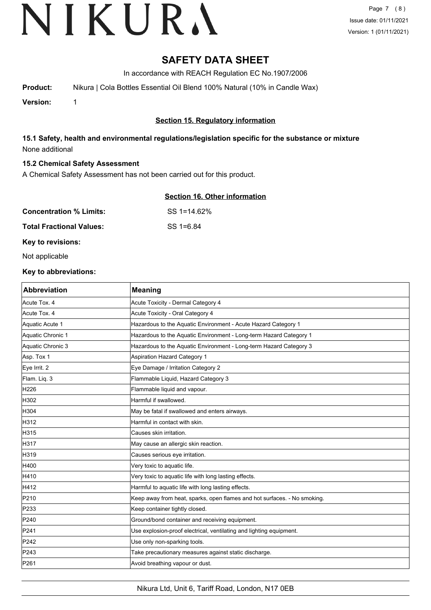# **SAFETY DATA SHEET**

In accordance with REACH Regulation EC No.1907/2006

**Product:** Nikura | Cola Bottles Essential Oil Blend 100% Natural (10% in Candle Wax)

**Version:** 1

# **Section 15. Regulatory information**

# **15.1 Safety, health and environmental regulations/legislation specific for the substance or mixture** None additional

#### **15.2 Chemical Safety Assessment**

A Chemical Safety Assessment has not been carried out for this product.

### **Section 16. Other information**

| <b>Concentration % Limits:</b>  | SS 1=14.62% |
|---------------------------------|-------------|
| <b>Total Fractional Values:</b> | SS 1=6.84   |

### **Key to revisions:**

Not applicable

#### **Key to abbreviations:**

| <b>Abbreviation</b> | <b>Meaning</b>                                                           |
|---------------------|--------------------------------------------------------------------------|
| Acute Tox. 4        | Acute Toxicity - Dermal Category 4                                       |
| Acute Tox. 4        | Acute Toxicity - Oral Category 4                                         |
| Aquatic Acute 1     | Hazardous to the Aquatic Environment - Acute Hazard Category 1           |
| Aquatic Chronic 1   | Hazardous to the Aquatic Environment - Long-term Hazard Category 1       |
| Aquatic Chronic 3   | Hazardous to the Aquatic Environment - Long-term Hazard Category 3       |
| Asp. Tox 1          | <b>Aspiration Hazard Category 1</b>                                      |
| Eye Irrit. 2        | Eye Damage / Irritation Category 2                                       |
| Flam. Liq. 3        | Flammable Liquid, Hazard Category 3                                      |
| H226                | Flammable liquid and vapour.                                             |
| H302                | Harmful if swallowed.                                                    |
| H304                | May be fatal if swallowed and enters airways.                            |
| H312                | Harmful in contact with skin.                                            |
| H315                | Causes skin irritation.                                                  |
| H317                | May cause an allergic skin reaction.                                     |
| H319                | Causes serious eye irritation.                                           |
| H400                | Very toxic to aquatic life.                                              |
| H410                | Very toxic to aquatic life with long lasting effects.                    |
| H412                | Harmful to aquatic life with long lasting effects.                       |
| P210                | Keep away from heat, sparks, open flames and hot surfaces. - No smoking. |
| P233                | Keep container tightly closed.                                           |
| P240                | Ground/bond container and receiving equipment.                           |
| P241                | Use explosion-proof electrical, ventilating and lighting equipment.      |
| P242                | Use only non-sparking tools.                                             |
| P243                | Take precautionary measures against static discharge.                    |
| P261                | Avoid breathing vapour or dust.                                          |